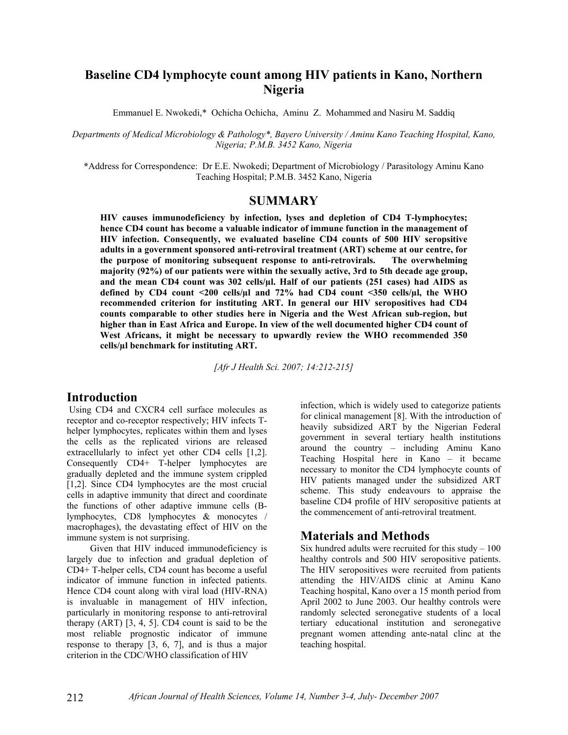# **Baseline CD4 lymphocyte count among HIV patients in Kano, Northern Nigeria**

Emmanuel E. Nwokedi,\* Ochicha Ochicha, Aminu Z. Mohammed and Nasiru M. Saddiq

*Departments of Medical Microbiology & Pathology\*, Bayero University / Aminu Kano Teaching Hospital, Kano, Nigeria; P.M.B. 3452 Kano, Nigeria* 

**\***Address for Correspondence: Dr E.E. Nwokedi; Department of Microbiology / Parasitology Aminu Kano Teaching Hospital; P.M.B. 3452 Kano, Nigeria

### **SUMMARY**

**HIV causes immunodeficiency by infection, lyses and depletion of CD4 T-lymphocytes; hence CD4 count has become a valuable indicator of immune function in the management of HIV infection. Consequently, we evaluated baseline CD4 counts of 500 HIV seropsitive adults in a government sponsored anti-retroviral treatment (ART) scheme at our centre, for the purpose of monitoring subsequent response to anti-retrovirals. The overwhelming majority (92%) of our patients were within the sexually active, 3rd to 5th decade age group, and the mean CD4 count was 302 cells/µl. Half of our patients (251 cases) had AIDS as defined by CD4 count <200 cells/µl and 72% had CD4 count <350 cells/µl, the WHO recommended criterion for instituting ART. In general our HIV seropositives had CD4 counts comparable to other studies here in Nigeria and the West African sub-region, but higher than in East Africa and Europe. In view of the well documented higher CD4 count of West Africans, it might be necessary to upwardly review the WHO recommended 350 cells/µl benchmark for instituting ART.** 

*[Afr J Health Sci. 2007; 14:212-215]* 

#### **Introduction**

 Using CD4 and CXCR4 cell surface molecules as receptor and co-receptor respectively; HIV infects Thelper lymphocytes, replicates within them and lyses the cells as the replicated virions are released extracellularly to infect yet other CD4 cells [1,2]. Consequently CD4+ T-helper lymphocytes are gradually depleted and the immune system crippled [1,2]. Since CD4 lymphocytes are the most crucial cells in adaptive immunity that direct and coordinate the functions of other adaptive immune cells (Blymphocytes, CD8 lymphocytes & monocytes / macrophages), the devastating effect of HIV on the immune system is not surprising.

 Given that HIV induced immunodeficiency is largely due to infection and gradual depletion of CD4+ T-helper cells, CD4 count has become a useful indicator of immune function in infected patients. Hence CD4 count along with viral load (HIV-RNA) is invaluable in management of HIV infection, particularly in monitoring response to anti-retroviral therapy (ART) [3, 4, 5]. CD4 count is said to be the most reliable prognostic indicator of immune response to therapy [3, 6, 7], and is thus a major criterion in the CDC/WHO classification of HIV

infection, which is widely used to categorize patients for clinical management [8]. With the introduction of heavily subsidized ART by the Nigerian Federal government in several tertiary health institutions around the country – including Aminu Kano Teaching Hospital here in Kano – it became necessary to monitor the CD4 lymphocyte counts of HIV patients managed under the subsidized ART scheme. This study endeavours to appraise the baseline CD4 profile of HIV seropositive patients at the commencement of anti-retroviral treatment.

### **Materials and Methods**

Six hundred adults were recruited for this study  $-100$ healthy controls and 500 HIV seropositive patients. The HIV seropositives were recruited from patients attending the HIV/AIDS clinic at Aminu Kano Teaching hospital, Kano over a 15 month period from April 2002 to June 2003. Our healthy controls were randomly selected seronegative students of a local tertiary educational institution and seronegative pregnant women attending ante-natal clinc at the teaching hospital.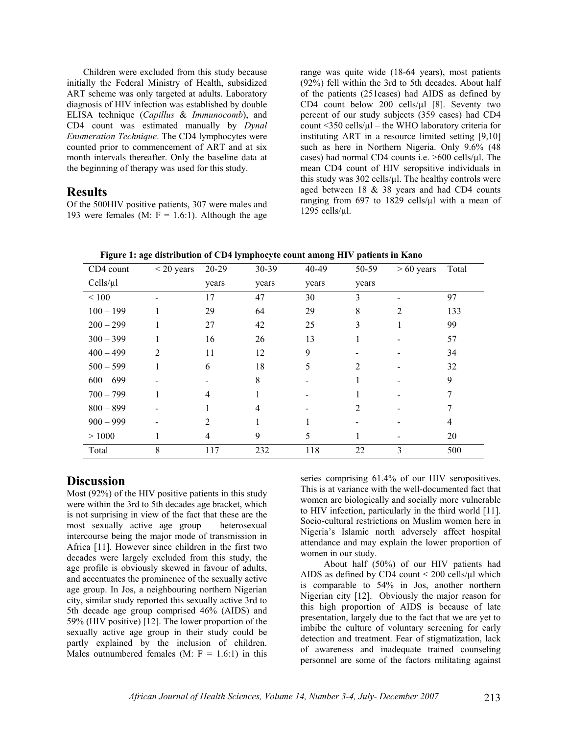Children were excluded from this study because initially the Federal Ministry of Health, subsidized ART scheme was only targeted at adults. Laboratory diagnosis of HIV infection was established by double ELISA technique (*Capillus* & *Immunocomb*), and CD4 count was estimated manually by *Dynal Enumeration Technique*. The CD4 lymphocytes were counted prior to commencement of ART and at six month intervals thereafter. Only the baseline data at the beginning of therapy was used for this study.

### **Results**

Of the 500HIV positive patients, 307 were males and 193 were females (M:  $F = 1.6:1$ ). Although the age range was quite wide (18-64 years), most patients (92%) fell within the 3rd to 5th decades. About half of the patients (251cases) had AIDS as defined by CD4 count below 200 cells/µl [8]. Seventy two percent of our study subjects (359 cases) had CD4 count  $\leq$ 350 cells/ $\mu$ l – the WHO laboratory criteria for instituting ART in a resource limited setting [9,10] such as here in Northern Nigeria. Only 9.6% (48 cases) had normal CD4 counts i.e.  $>600$  cells/ $\mu$ l. The mean CD4 count of HIV seropsitive individuals in this study was  $302$  cells/ $\mu$ l. The healthy controls were aged between 18 & 38 years and had CD4 counts ranging from 697 to 1829 cells/µl with a mean of 1295 cells/µl.

| CD4 count   | $<$ 20 years   | 20-29          | 30-39 | 40-49 | 50-59                       | $> 60$ years   | Total |
|-------------|----------------|----------------|-------|-------|-----------------------------|----------------|-------|
| Cells/µl    |                | years          | years | years | years                       |                |       |
| < 100       |                | 17             | 47    | 30    | 3                           |                | 97    |
| $100 - 199$ |                | 29             | 64    | 29    | 8                           | $\overline{2}$ | 133   |
| $200 - 299$ |                | 27             | 42    | 25    | 3                           |                | 99    |
| $300 - 399$ |                | 16             | 26    | 13    |                             |                | 57    |
| $400 - 499$ | $\overline{2}$ | 11             | 12    | 9     |                             |                | 34    |
| $500 - 599$ |                | 6              | 18    | 5     | $\mathfrak{D}$              |                | 32    |
| $600 - 699$ |                |                | 8     |       |                             |                | 9     |
| $700 - 799$ |                | $\overline{4}$ |       |       |                             |                | 7     |
| $800 - 899$ |                |                | 4     |       | $\mathcal{D}_{\mathcal{L}}$ |                | 7     |
| $900 - 999$ |                | $\overline{2}$ |       |       |                             |                | 4     |
| >1000       |                | $\overline{4}$ | 9     | 5     |                             |                | 20    |
| Total       | 8              | 117            | 232   | 118   | 22                          | 3              | 500   |

**Figure 1: age distribution of CD4 lymphocyte count among HIV patients in Kano** 

## **Discussion**

Most (92%) of the HIV positive patients in this study were within the 3rd to 5th decades age bracket, which is not surprising in view of the fact that these are the most sexually active age group – heterosexual intercourse being the major mode of transmission in Africa [11]. However since children in the first two decades were largely excluded from this study, the age profile is obviously skewed in favour of adults, and accentuates the prominence of the sexually active age group. In Jos, a neighbouring northern Nigerian city, similar study reported this sexually active 3rd to 5th decade age group comprised 46% (AIDS) and 59% (HIV positive) [12]. The lower proportion of the sexually active age group in their study could be partly explained by the inclusion of children. Males outnumbered females (M:  $F = 1.6:1$ ) in this

series comprising 61.4% of our HIV seropositives. This is at variance with the well-documented fact that women are biologically and socially more vulnerable to HIV infection, particularly in the third world [11]. Socio-cultural restrictions on Muslim women here in Nigeria's Islamic north adversely affect hospital attendance and may explain the lower proportion of women in our study.

 About half (50%) of our HIV patients had AIDS as defined by CD4 count  $\leq$  200 cells/ $\mu$ l which is comparable to 54% in Jos, another northern Nigerian city [12]. Obviously the major reason for this high proportion of AIDS is because of late presentation, largely due to the fact that we are yet to imbibe the culture of voluntary screening for early detection and treatment. Fear of stigmatization, lack of awareness and inadequate trained counseling personnel are some of the factors militating against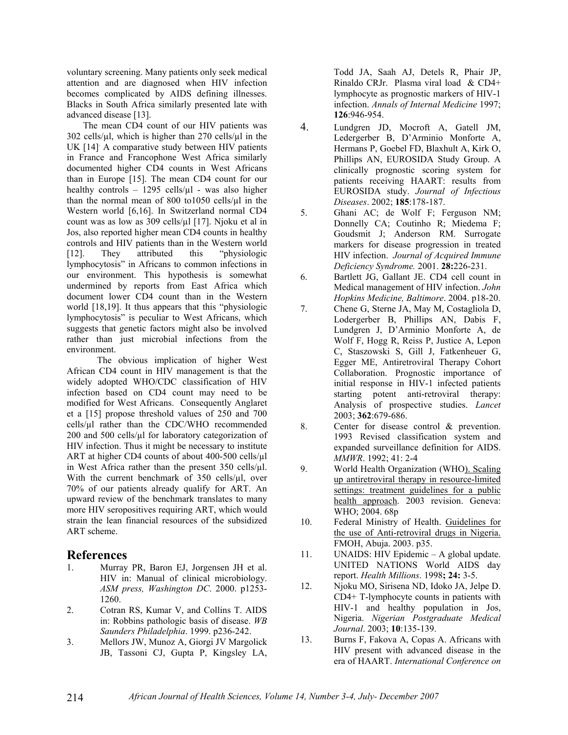voluntary screening. Many patients only seek medical attention and are diagnosed when HIV infection becomes complicated by AIDS defining illnesses. Blacks in South Africa similarly presented late with advanced disease [13].

 The mean CD4 count of our HIV patients was  $302$  cells/ $\mu$ l, which is higher than 270 cells/ $\mu$ l in the UK [14] A comparative study between HIV patients in France and Francophone West Africa similarly documented higher CD4 counts in West Africans than in Europe [15]. The mean CD4 count for our healthy controls – 1295 cells/ $\mu$ l - was also higher than the normal mean of 800 to1050 cells/ $\mu$ l in the Western world [6,16]. In Switzerland normal CD4 count was as low as 309 cells/µl [17]. Njoku et al in Jos, also reported higher mean CD4 counts in healthy controls and HIV patients than in the Western world [12]. They attributed this "physiologic lymphocytosis" in Africans to common infections in our environment. This hypothesis is somewhat undermined by reports from East Africa which document lower CD4 count than in the Western world [18,19]. It thus appears that this "physiologic lymphocytosis" is peculiar to West Africans, which suggests that genetic factors might also be involved rather than just microbial infections from the environment.

 The obvious implication of higher West African CD4 count in HIV management is that the widely adopted WHO/CDC classification of HIV infection based on CD4 count may need to be modified for West Africans. Consequently Anglaret et a [15] propose threshold values of 250 and 700 cells/µl rather than the CDC/WHO recommended 200 and 500 cells/µl for laboratory categorization of HIV infection. Thus it might be necessary to institute ART at higher CD4 counts of about 400-500 cells/ $\mu$ l in West Africa rather than the present 350 cells/µl. With the current benchmark of 350 cells/µl, over 70% of our patients already qualify for ART. An upward review of the benchmark translates to many more HIV seropositives requiring ART, which would strain the lean financial resources of the subsidized ART scheme.

### **References**

- 1. Murray PR, Baron EJ, Jorgensen JH et al. HIV in: Manual of clinical microbiology. *ASM press, Washington DC*. 2000. p1253- 1260.
- 2. Cotran RS, Kumar V, and Collins T. AIDS in: Robbins pathologic basis of disease. *WB Saunders Philadelphia*. 1999. p236-242.
- 3. Mellors JW, Munoz A, Giorgi JV Margolick JB, Tassoni CJ, Gupta P, Kingsley LA,

Todd JA, Saah AJ, Detels R, Phair JP, Rinaldo CRJr. Plasma viral load & CD4+ lymphocyte as prognostic markers of HIV-1 infection. *Annals of Internal Medicine* 1997; **126**:946-954.

- 4. Lundgren JD, Mocroft A, Gatell JM, Ledergerber B, D'Arminio Monforte A, Hermans P, Goebel FD, Blaxhult A, Kirk O, Phillips AN, EUROSIDA Study Group. A clinically prognostic scoring system for patients receiving HAART: results from EUROSIDA study. *Journal of Infectious Diseases*. 2002; **185**:178-187.
- 5. Ghani AC; de Wolf F; Ferguson NM; Donnelly CA; Coutinho R; Miedema F; Goudsmit J; Anderson RM. Surrogate markers for disease progression in treated HIV infection.*Journal of Acquired Immune Deficiency Syndrome.* 2001. **28:**226-231.
- 6. Bartlett JG, Gallant JE. CD4 cell count in Medical management of HIV infection. *John Hopkins Medicine, Baltimore*. 2004. p18-20.
- 7. Chene G, Sterne JA, May M, Costagliola D, Lodergerber B, Phillips AN, Dabis F, Lundgren J, D'Arminio Monforte A, de Wolf F, Hogg R, Reiss P, Justice A, Lepon C, Staszowski S, Gill J, Fatkenheuer G, Egger ME, Antiretroviral Therapy Cohort Collaboration. Prognostic importance of initial response in HIV-1 infected patients starting potent anti-retroviral therapy: Analysis of prospective studies. *Lancet* 2003; **362**:679-686.
- 8. Center for disease control & prevention. 1993 Revised classification system and expanded surveillance definition for AIDS. *MMWR*. 1992; 41: 2-4
- 9. World Health Organization (WHO). Scaling up antiretroviral therapy in resource-limited settings: treatment guidelines for a public health approach. 2003 revision. Geneva: WHO; 2004. 68p
- 10. Federal Ministry of Health. Guidelines for the use of Anti-retroviral drugs in Nigeria. FMOH, Abuja. 2003. p35.
- 11. UNAIDS: HIV Epidemic A global update. UNITED NATIONS World AIDS day report. *Health Millions*. 1998**; 24:** 3-5.
- 12. Njoku MO, Sirisena ND, Idoko JA, Jelpe D. CD4+ T-lymphocyte counts in patients with HIV-1 and healthy population in Jos, Nigeria. *Nigerian Postgraduate Medical Journal*. 2003; **10**:135-139.
- 13. Burns F, Fakova A, Copas A. Africans with HIV present with advanced disease in the era of HAART. *International Conference on*